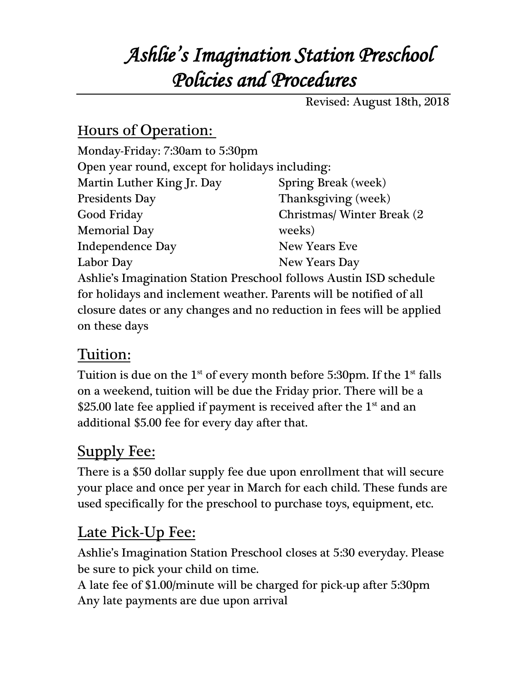# *Ashlie's Imagination Station Preschool Policies and Procedures*

Revised: August 18th, 2018

#### Hours of Operation:

| Monday-Friday: 7:30am to 5:30pm                                       |                             |
|-----------------------------------------------------------------------|-----------------------------|
| Open year round, except for holidays including:                       |                             |
| Martin Luther King Jr. Day                                            | <b>Spring Break</b> (week)  |
| <b>Presidents Day</b>                                                 | Thanksgiving (week)         |
| Good Friday                                                           | Christmas/ Winter Break (2) |
| <b>Memorial Day</b>                                                   | weeks)                      |
| <b>Independence Day</b>                                               | <b>New Years Eve</b>        |
| Labor Day                                                             | New Years Day               |
| Ashlie's Imagination Station Preschool follows Austin ISD schedule    |                             |
| for holidays and inclement weather. Parents will be notified of all   |                             |
| closure dates or any changes and no reduction in fees will be applied |                             |
| on these days                                                         |                             |
|                                                                       |                             |

#### Tuition:

Tuition is due on the  $1^{st}$  of every month before 5:30pm. If the  $1^{st}$  falls on a weekend, tuition will be due the Friday prior. There will be a \$25.00 late fee applied if payment is received after the  $1<sup>st</sup>$  and an additional \$5.00 fee for every day after that.

### Supply Fee:

There is a \$50 dollar supply fee due upon enrollment that will secure your place and once per year in March for each child. These funds are used specifically for the preschool to purchase toys, equipment, etc.

### Late Pick-Up Fee:

Ashlie's Imagination Station Preschool closes at 5:30 everyday. Please be sure to pick your child on time.

A late fee of \$1.00/minute will be charged for pick-up after 5:30pm Any late payments are due upon arrival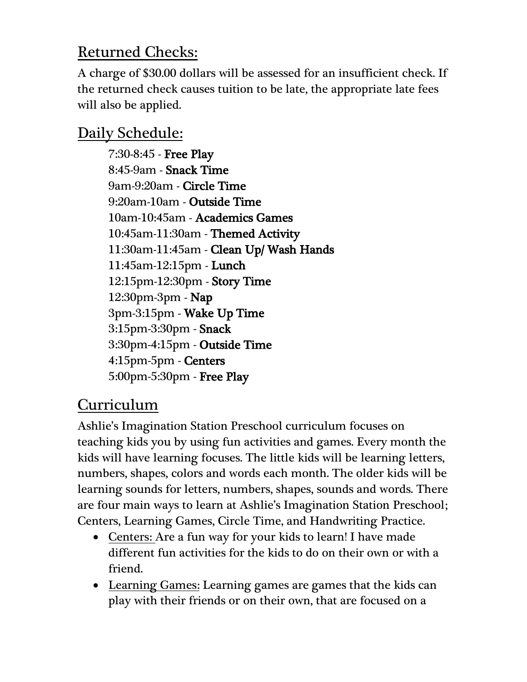### Returned Checks:

A charge of \$30.00 dollars will be assessed for an insufficient check. If the returned check causes tuition to be late, the appropriate late fees will also be applied.

### Daily Schedule:

7:30-8:45 - Free Play 8:45-9am - Snack Time 9am-9:20am - Circle Time 9:20am-10am - Outside Time 10am-10:45am - Academics Games 10:45am-11:30am - Themed Activity 11:30am-11:45am - Clean Up/ Wash Hands 11:45am-12:15pm - Lunch 12:15pm-12:30pm - Story Time 12:30pm-3pm - Nap 3pm-3:15pm - Wake Up Time 3:15pm-3:30pm - Snack 3:30pm-4:15pm - Outside Time 4:15pm-5pm - Centers 5:00pm-5:30pm - Free Play

### Curriculum

Ashlie's Imagination Station Preschool curriculum focuses on teaching kids you by using fun activities and games. Every month the kids will have learning focuses. The little kids will be learning letters, numbers, shapes, colors and words each month. The older kids will be learning sounds for letters, numbers, shapes, sounds and words. There are four main ways to learn at Ashlie's Imagination Station Preschool; Centers, Learning Games, Circle Time, and Handwriting Practice.

- Centers: Are a fun way for your kids to learn! I have made different fun activities for the kids to do on their own or with a friend.
- Learning Games: Learning games are games that the kids can play with their friends or on their own, that are focused on a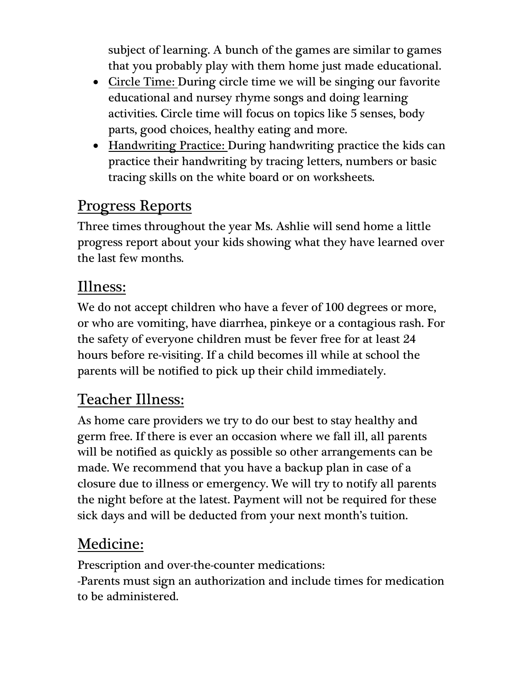subject of learning. A bunch of the games are similar to games that you probably play with them home just made educational.

- Circle Time: During circle time we will be singing our favorite educational and nursey rhyme songs and doing learning activities. Circle time will focus on topics like 5 senses, body parts, good choices, healthy eating and more.
- Handwriting Practice: During handwriting practice the kids can practice their handwriting by tracing letters, numbers or basic tracing skills on the white board or on worksheets.

#### Progress Reports

Three times throughout the year Ms. Ashlie will send home a little progress report about your kids showing what they have learned over the last few months.

#### Illness:

We do not accept children who have a fever of 100 degrees or more, or who are vomiting, have diarrhea, pinkeye or a contagious rash. For the safety of everyone children must be fever free for at least 24 hours before re-visiting. If a child becomes ill while at school the parents will be notified to pick up their child immediately.

#### Teacher Illness:

As home care providers we try to do our best to stay healthy and germ free. If there is ever an occasion where we fall ill, all parents will be notified as quickly as possible so other arrangements can be made. We recommend that you have a backup plan in case of a closure due to illness or emergency. We will try to notify all parents the night before at the latest. Payment will not be required for these sick days and will be deducted from your next month's tuition.

### Medicine:

Prescription and over-the-counter medications: -Parents must sign an authorization and include times for medication to be administered.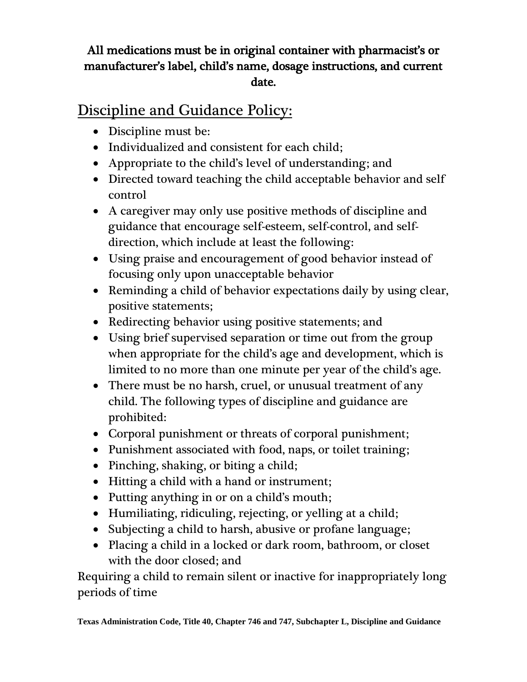#### All medications must be in original container with pharmacist's or manufacturer's label, child's name, dosage instructions, and current date.

### Discipline and Guidance Policy:

- Discipline must be:
- Individualized and consistent for each child:
- Appropriate to the child's level of understanding; and
- Directed toward teaching the child acceptable behavior and self control
- A caregiver may only use positive methods of discipline and guidance that encourage self-esteem, self-control, and selfdirection, which include at least the following:
- Using praise and encouragement of good behavior instead of focusing only upon unacceptable behavior
- Reminding a child of behavior expectations daily by using clear, positive statements;
- Redirecting behavior using positive statements; and
- Using brief supervised separation or time out from the group when appropriate for the child's age and development, which is limited to no more than one minute per year of the child's age.
- There must be no harsh, cruel, or unusual treatment of any child. The following types of discipline and guidance are prohibited:
- Corporal punishment or threats of corporal punishment;
- Punishment associated with food, naps, or toilet training;
- Pinching, shaking, or biting a child;
- Hitting a child with a hand or instrument;
- Putting anything in or on a child's mouth;
- Humiliating, ridiculing, rejecting, or yelling at a child;
- Subjecting a child to harsh, abusive or profane language;
- Placing a child in a locked or dark room, bathroom, or closet with the door closed; and

Requiring a child to remain silent or inactive for inappropriately long periods of time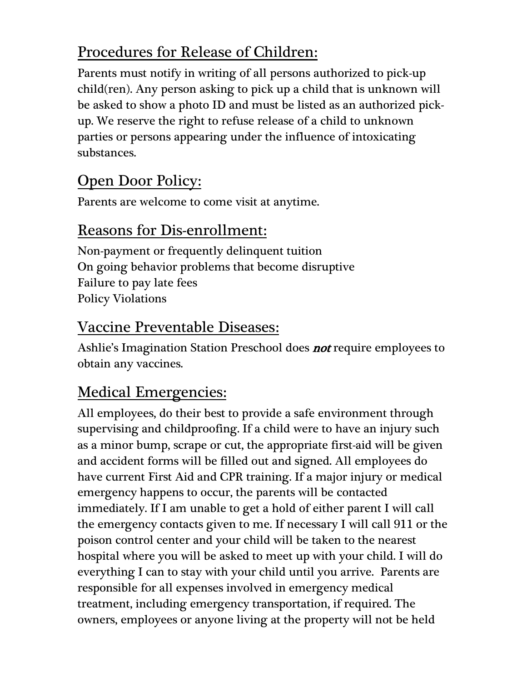## Procedures for Release of Children:

Parents must notify in writing of all persons authorized to pick-up child(ren). Any person asking to pick up a child that is unknown will be asked to show a photo ID and must be listed as an authorized pickup. We reserve the right to refuse release of a child to unknown parties or persons appearing under the influence of intoxicating substances.

## Open Door Policy:

Parents are welcome to come visit at anytime.

#### Reasons for Dis-enrollment:

Non-payment or frequently delinquent tuition On going behavior problems that become disruptive Failure to pay late fees Policy Violations

#### Vaccine Preventable Diseases:

Ashlie's Imagination Station Preschool does **not** require employees to obtain any vaccines.

### Medical Emergencies:

All employees, do their best to provide a safe environment through supervising and childproofing. If a child were to have an injury such as a minor bump, scrape or cut, the appropriate first-aid will be given and accident forms will be filled out and signed. All employees do have current First Aid and CPR training. If a major injury or medical emergency happens to occur, the parents will be contacted immediately. If I am unable to get a hold of either parent I will call the emergency contacts given to me. If necessary I will call 911 or the poison control center and your child will be taken to the nearest hospital where you will be asked to meet up with your child. I will do everything I can to stay with your child until you arrive. Parents are responsible for all expenses involved in emergency medical treatment, including emergency transportation, if required. The owners, employees or anyone living at the property will not be held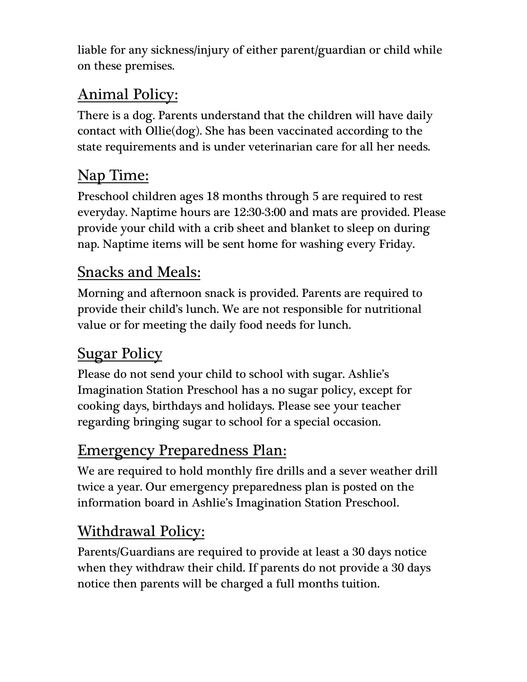liable for any sickness/injury of either parent/guardian or child while on these premises.

## Animal Policy:

There is a dog. Parents understand that the children will have daily contact with Ollie(dog). She has been vaccinated according to the state requirements and is under veterinarian care for all her needs.

## Nap Time:

Preschool children ages 18 months through 5 are required to rest everyday. Naptime hours are 12:30-3:00 and mats are provided. Please provide your child with a crib sheet and blanket to sleep on during nap. Naptime items will be sent home for washing every Friday.

#### Snacks and Meals:

Morning and afternoon snack is provided. Parents are required to provide their child's lunch. We are not responsible for nutritional value or for meeting the daily food needs for lunch.

## **Sugar Policy**

Please do not send your child to school with sugar. Ashlie's Imagination Station Preschool has a no sugar policy, except for cooking days, birthdays and holidays. Please see your teacher regarding bringing sugar to school for a special occasion.

## Emergency Preparedness Plan:

We are required to hold monthly fire drills and a sever weather drill twice a year. Our emergency preparedness plan is posted on the information board in Ashlie's Imagination Station Preschool.

### Withdrawal Policy:

Parents/Guardians are required to provide at least a 30 days notice when they withdraw their child. If parents do not provide a 30 days notice then parents will be charged a full months tuition.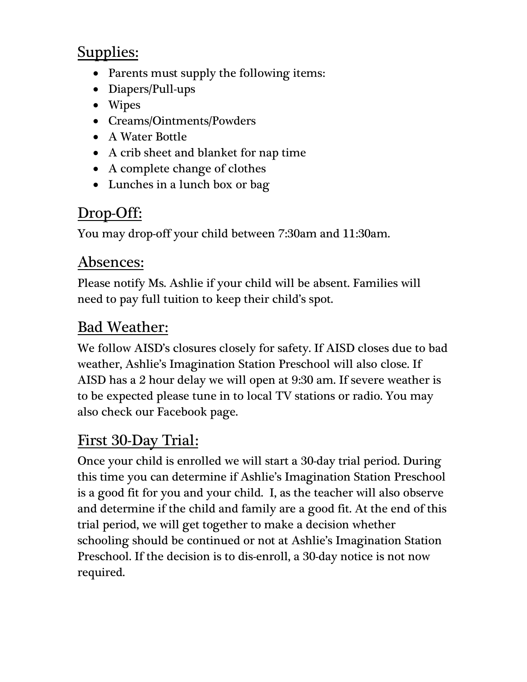## Supplies:

- Parents must supply the following items:
- Diapers/Pull-ups
- Wipes
- Creams/Ointments/Powders
- A Water Bottle
- A crib sheet and blanket for nap time
- A complete change of clothes
- Lunches in a lunch box or bag

## Drop-Off:

You may drop-off your child between 7:30am and 11:30am.

#### Absences:

Please notify Ms. Ashlie if your child will be absent. Families will need to pay full tuition to keep their child's spot.

## Bad Weather:

We follow AISD's closures closely for safety. If AISD closes due to bad weather, Ashlie's Imagination Station Preschool will also close. If AISD has a 2 hour delay we will open at 9:30 am. If severe weather is to be expected please tune in to local TV stations or radio. You may also check our Facebook page.

### First 30-Day Trial:

Once your child is enrolled we will start a 30-day trial period. During this time you can determine if Ashlie's Imagination Station Preschool is a good fit for you and your child. I, as the teacher will also observe and determine if the child and family are a good fit. At the end of this trial period, we will get together to make a decision whether schooling should be continued or not at Ashlie's Imagination Station Preschool. If the decision is to dis-enroll, a 30-day notice is not now required.